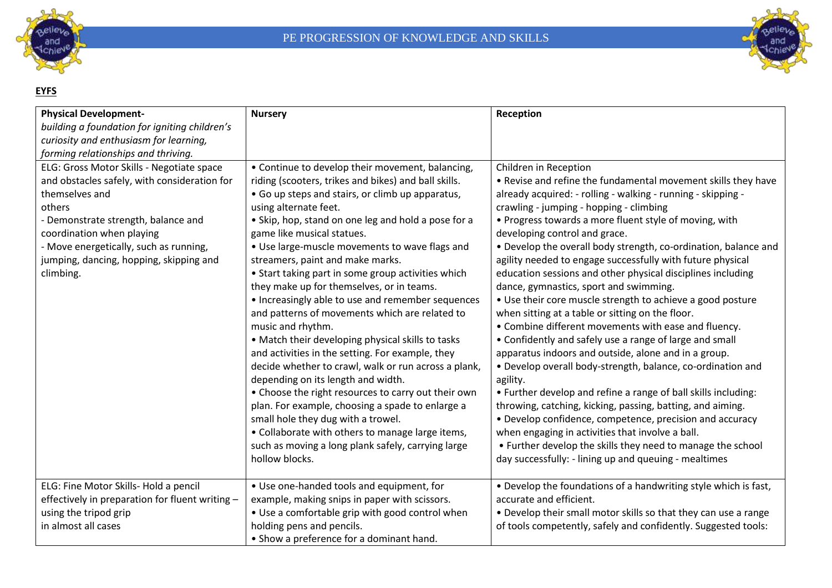



#### **EYFS**

| <b>Physical Development-</b>                    | <b>Nursery</b>                                       | Reception                                                       |
|-------------------------------------------------|------------------------------------------------------|-----------------------------------------------------------------|
| building a foundation for igniting children's   |                                                      |                                                                 |
| curiosity and enthusiasm for learning,          |                                                      |                                                                 |
| forming relationships and thriving.             |                                                      |                                                                 |
| ELG: Gross Motor Skills - Negotiate space       | • Continue to develop their movement, balancing,     | Children in Reception                                           |
| and obstacles safely, with consideration for    | riding (scooters, trikes and bikes) and ball skills. | • Revise and refine the fundamental movement skills they have   |
| themselves and                                  | • Go up steps and stairs, or climb up apparatus,     | already acquired: - rolling - walking - running - skipping -    |
| others                                          | using alternate feet.                                | crawling - jumping - hopping - climbing                         |
| - Demonstrate strength, balance and             | • Skip, hop, stand on one leg and hold a pose for a  | • Progress towards a more fluent style of moving, with          |
| coordination when playing                       | game like musical statues.                           | developing control and grace.                                   |
| - Move energetically, such as running,          | • Use large-muscle movements to wave flags and       | • Develop the overall body strength, co-ordination, balance and |
| jumping, dancing, hopping, skipping and         | streamers, paint and make marks.                     | agility needed to engage successfully with future physical      |
| climbing.                                       | • Start taking part in some group activities which   | education sessions and other physical disciplines including     |
|                                                 | they make up for themselves, or in teams.            | dance, gymnastics, sport and swimming.                          |
|                                                 | • Increasingly able to use and remember sequences    | • Use their core muscle strength to achieve a good posture      |
|                                                 | and patterns of movements which are related to       | when sitting at a table or sitting on the floor.                |
|                                                 | music and rhythm.                                    | • Combine different movements with ease and fluency.            |
|                                                 | • Match their developing physical skills to tasks    | • Confidently and safely use a range of large and small         |
|                                                 | and activities in the setting. For example, they     | apparatus indoors and outside, alone and in a group.            |
|                                                 | decide whether to crawl, walk or run across a plank, | • Develop overall body-strength, balance, co-ordination and     |
|                                                 | depending on its length and width.                   | agility.                                                        |
|                                                 | • Choose the right resources to carry out their own  | • Further develop and refine a range of ball skills including:  |
|                                                 | plan. For example, choosing a spade to enlarge a     | throwing, catching, kicking, passing, batting, and aiming.      |
|                                                 | small hole they dug with a trowel.                   | • Develop confidence, competence, precision and accuracy        |
|                                                 | • Collaborate with others to manage large items,     | when engaging in activities that involve a ball.                |
|                                                 | such as moving a long plank safely, carrying large   | • Further develop the skills they need to manage the school     |
|                                                 | hollow blocks.                                       | day successfully: - lining up and queuing - mealtimes           |
|                                                 |                                                      |                                                                 |
| ELG: Fine Motor Skills- Hold a pencil           | • Use one-handed tools and equipment, for            | • Develop the foundations of a handwriting style which is fast, |
| effectively in preparation for fluent writing - | example, making snips in paper with scissors.        | accurate and efficient.                                         |
| using the tripod grip                           | • Use a comfortable grip with good control when      | • Develop their small motor skills so that they can use a range |
| in almost all cases                             | holding pens and pencils.                            | of tools competently, safely and confidently. Suggested tools:  |
|                                                 | • Show a preference for a dominant hand.             |                                                                 |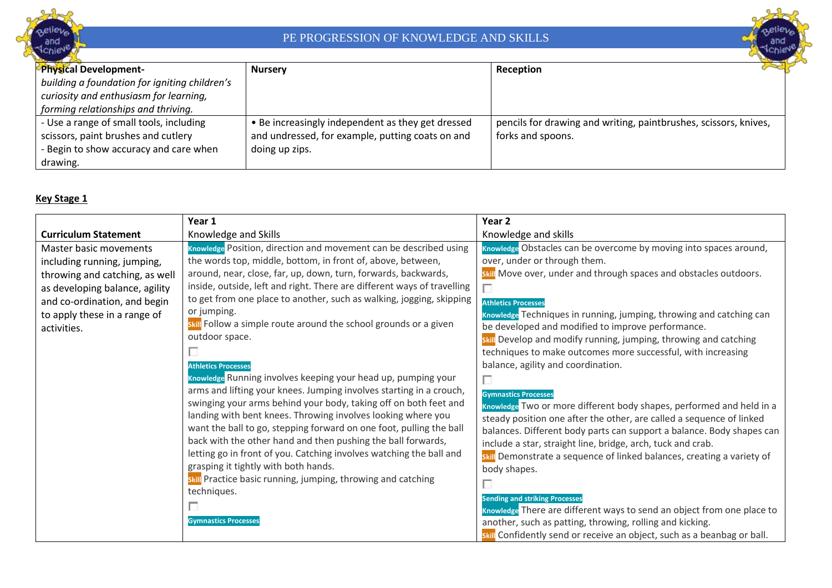



| Physical Development-                         | <b>Nursery</b>                                    | Reception                                                        |
|-----------------------------------------------|---------------------------------------------------|------------------------------------------------------------------|
| building a foundation for igniting children's |                                                   |                                                                  |
| curiosity and enthusiasm for learning,        |                                                   |                                                                  |
| forming relationships and thriving.           |                                                   |                                                                  |
| - Use a range of small tools, including       | • Be increasingly independent as they get dressed | pencils for drawing and writing, paintbrushes, scissors, knives, |
| scissors, paint brushes and cutlery           | and undressed, for example, putting coats on and  | forks and spoons.                                                |
| - Begin to show accuracy and care when        | doing up zips.                                    |                                                                  |
| drawing.                                      |                                                   |                                                                  |

#### **Key Stage 1**

|                                                                                                                                                                                                          | Year 1                                                                                                                                                                                                                                                                                                                                                                                                                                                                                                                                                                                                                                                                                                                                                                                                                                                                                                                                                                                                                                                                                                                                   | Year <sub>2</sub>                                                                                                                                                                                                                                                                                                                                                                                                                                                                                                                                                                                                                                                                                                                                                                                                                                                                                                                                                                                                                                                                                                                                                                          |
|----------------------------------------------------------------------------------------------------------------------------------------------------------------------------------------------------------|------------------------------------------------------------------------------------------------------------------------------------------------------------------------------------------------------------------------------------------------------------------------------------------------------------------------------------------------------------------------------------------------------------------------------------------------------------------------------------------------------------------------------------------------------------------------------------------------------------------------------------------------------------------------------------------------------------------------------------------------------------------------------------------------------------------------------------------------------------------------------------------------------------------------------------------------------------------------------------------------------------------------------------------------------------------------------------------------------------------------------------------|--------------------------------------------------------------------------------------------------------------------------------------------------------------------------------------------------------------------------------------------------------------------------------------------------------------------------------------------------------------------------------------------------------------------------------------------------------------------------------------------------------------------------------------------------------------------------------------------------------------------------------------------------------------------------------------------------------------------------------------------------------------------------------------------------------------------------------------------------------------------------------------------------------------------------------------------------------------------------------------------------------------------------------------------------------------------------------------------------------------------------------------------------------------------------------------------|
| <b>Curriculum Statement</b>                                                                                                                                                                              | Knowledge and Skills                                                                                                                                                                                                                                                                                                                                                                                                                                                                                                                                                                                                                                                                                                                                                                                                                                                                                                                                                                                                                                                                                                                     | Knowledge and skills                                                                                                                                                                                                                                                                                                                                                                                                                                                                                                                                                                                                                                                                                                                                                                                                                                                                                                                                                                                                                                                                                                                                                                       |
| Master basic movements<br>including running, jumping,<br>throwing and catching, as well<br>as developing balance, agility<br>and co-ordination, and begin<br>to apply these in a range of<br>activities. | Knowledge Position, direction and movement can be described using<br>the words top, middle, bottom, in front of, above, between,<br>around, near, close, far, up, down, turn, forwards, backwards,<br>inside, outside, left and right. There are different ways of travelling<br>to get from one place to another, such as walking, jogging, skipping<br>or jumping.<br>skill Follow a simple route around the school grounds or a given<br>outdoor space.<br><b>Athletics Processes</b><br>Knowledge Running involves keeping your head up, pumping your<br>arms and lifting your knees. Jumping involves starting in a crouch,<br>swinging your arms behind your body, taking off on both feet and<br>landing with bent knees. Throwing involves looking where you<br>want the ball to go, stepping forward on one foot, pulling the ball<br>back with the other hand and then pushing the ball forwards,<br>letting go in front of you. Catching involves watching the ball and<br>grasping it tightly with both hands.<br>skill Practice basic running, jumping, throwing and catching<br>techniques.<br><b>Gymnastics Processes</b> | Knowledge Obstacles can be overcome by moving into spaces around,<br>over, under or through them.<br>skill Move over, under and through spaces and obstacles outdoors.<br><b>Athletics Processes</b><br>Knowledge Techniques in running, jumping, throwing and catching can<br>be developed and modified to improve performance.<br>skill Develop and modify running, jumping, throwing and catching<br>techniques to make outcomes more successful, with increasing<br>balance, agility and coordination.<br>П<br><b>Gymnastics Processes</b><br>Knowledge Two or more different body shapes, performed and held in a<br>steady position one after the other, are called a sequence of linked<br>balances. Different body parts can support a balance. Body shapes can<br>include a star, straight line, bridge, arch, tuck and crab.<br>skill Demonstrate a sequence of linked balances, creating a variety of<br>body shapes.<br><b>Sending and striking Processes</b><br>Knowledge There are different ways to send an object from one place to<br>another, such as patting, throwing, rolling and kicking.<br>skill Confidently send or receive an object, such as a beanbag or ball. |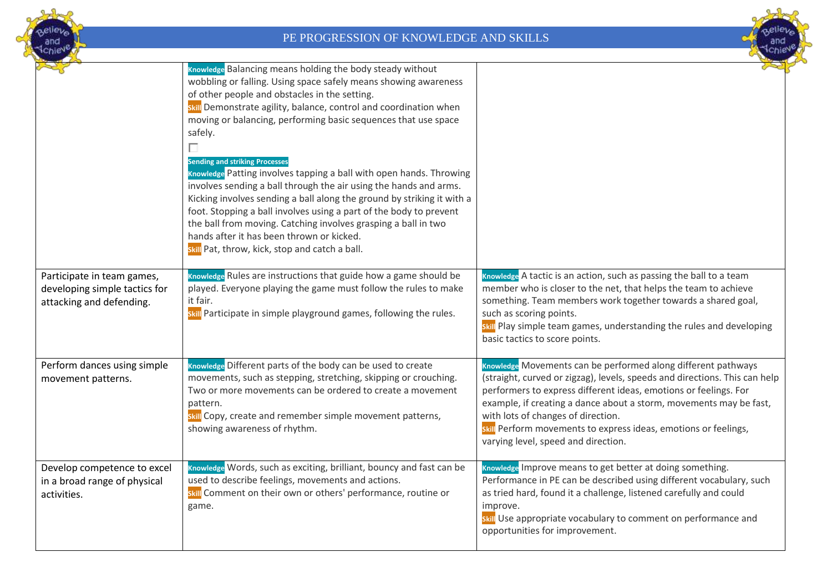



|                                                                                         | Knowledge Balancing means holding the body steady without<br>wobbling or falling. Using space safely means showing awareness<br>of other people and obstacles in the setting.<br>skill Demonstrate agility, balance, control and coordination when<br>moving or balancing, performing basic sequences that use space<br>safely.<br>П<br><b>Sending and striking Processes</b><br>Knowledge Patting involves tapping a ball with open hands. Throwing<br>involves sending a ball through the air using the hands and arms.<br>Kicking involves sending a ball along the ground by striking it with a<br>foot. Stopping a ball involves using a part of the body to prevent<br>the ball from moving. Catching involves grasping a ball in two<br>hands after it has been thrown or kicked.<br>skill Pat, throw, kick, stop and catch a ball. |                                                                                                                                                                                                                                                                                                                                                                                                                                       |
|-----------------------------------------------------------------------------------------|--------------------------------------------------------------------------------------------------------------------------------------------------------------------------------------------------------------------------------------------------------------------------------------------------------------------------------------------------------------------------------------------------------------------------------------------------------------------------------------------------------------------------------------------------------------------------------------------------------------------------------------------------------------------------------------------------------------------------------------------------------------------------------------------------------------------------------------------|---------------------------------------------------------------------------------------------------------------------------------------------------------------------------------------------------------------------------------------------------------------------------------------------------------------------------------------------------------------------------------------------------------------------------------------|
| Participate in team games,<br>developing simple tactics for<br>attacking and defending. | Knowledge Rules are instructions that guide how a game should be<br>played. Everyone playing the game must follow the rules to make<br>it fair.<br>skill Participate in simple playground games, following the rules.                                                                                                                                                                                                                                                                                                                                                                                                                                                                                                                                                                                                                      | Knowledge A tactic is an action, such as passing the ball to a team<br>member who is closer to the net, that helps the team to achieve<br>something. Team members work together towards a shared goal,<br>such as scoring points.<br>skill Play simple team games, understanding the rules and developing<br>basic tactics to score points.                                                                                           |
| Perform dances using simple<br>movement patterns.                                       | Knowledge Different parts of the body can be used to create<br>movements, such as stepping, stretching, skipping or crouching.<br>Two or more movements can be ordered to create a movement<br>pattern.<br>skill Copy, create and remember simple movement patterns,<br>showing awareness of rhythm.                                                                                                                                                                                                                                                                                                                                                                                                                                                                                                                                       | Knowledge Movements can be performed along different pathways<br>(straight, curved or zigzag), levels, speeds and directions. This can help<br>performers to express different ideas, emotions or feelings. For<br>example, if creating a dance about a storm, movements may be fast,<br>with lots of changes of direction.<br>skill Perform movements to express ideas, emotions or feelings,<br>varying level, speed and direction. |
| Develop competence to excel<br>in a broad range of physical<br>activities.              | Knowledge Words, such as exciting, brilliant, bouncy and fast can be<br>used to describe feelings, movements and actions.<br>skill Comment on their own or others' performance, routine or<br>game.                                                                                                                                                                                                                                                                                                                                                                                                                                                                                                                                                                                                                                        | Knowledge Improve means to get better at doing something.<br>Performance in PE can be described using different vocabulary, such<br>as tried hard, found it a challenge, listened carefully and could<br>improve.<br>skill Use appropriate vocabulary to comment on performance and<br>opportunities for improvement.                                                                                                                 |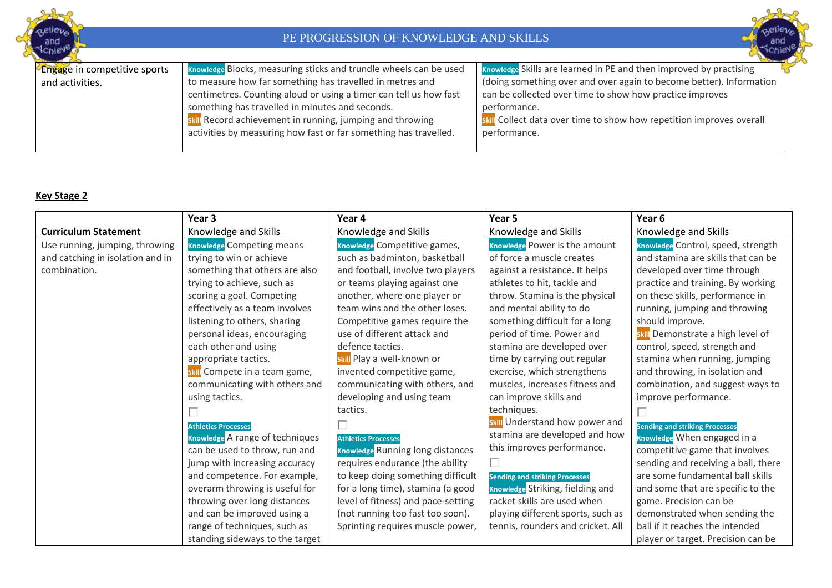



| Engage in competitive sports | Knowledge Blocks, measuring sticks and trundle wheels can be used | Knowledge Skills are learned in PE and then improved by practising   |
|------------------------------|-------------------------------------------------------------------|----------------------------------------------------------------------|
| and activities.              | to measure how far something has travelled in metres and          | (doing something over and over again to become better). Information  |
|                              | centimetres. Counting aloud or using a timer can tell us how fast | can be collected over time to show how practice improves             |
|                              | something has travelled in minutes and seconds.                   | performance.                                                         |
|                              | skill Record achievement in running, jumping and throwing         | skill Collect data over time to show how repetition improves overall |
|                              | activities by measuring how fast or far something has travelled.  | performance.                                                         |
|                              |                                                                   |                                                                      |

#### **Key Stage 2**

|                                  | Year 3                           | Year 4                                  | Year 5                                | Year 6                                |
|----------------------------------|----------------------------------|-----------------------------------------|---------------------------------------|---------------------------------------|
| <b>Curriculum Statement</b>      | Knowledge and Skills             | Knowledge and Skills                    | Knowledge and Skills                  | Knowledge and Skills                  |
| Use running, jumping, throwing   | <b>Knowledge Competing means</b> | Knowledge Competitive games,            | Knowledge Power is the amount         | Knowledge Control, speed, strength    |
| and catching in isolation and in | trying to win or achieve         | such as badminton, basketball           | of force a muscle creates             | and stamina are skills that can be    |
| combination.                     | something that others are also   | and football, involve two players       | against a resistance. It helps        | developed over time through           |
|                                  | trying to achieve, such as       | or teams playing against one            | athletes to hit, tackle and           | practice and training. By working     |
|                                  | scoring a goal. Competing        | another, where one player or            | throw. Stamina is the physical        | on these skills, performance in       |
|                                  | effectively as a team involves   | team wins and the other loses.          | and mental ability to do              | running, jumping and throwing         |
|                                  | listening to others, sharing     | Competitive games require the           | something difficult for a long        | should improve.                       |
|                                  | personal ideas, encouraging      | use of different attack and             | period of time. Power and             | skill Demonstrate a high level of     |
|                                  | each other and using             | defence tactics.                        | stamina are developed over            | control, speed, strength and          |
|                                  | appropriate tactics.             | skill Play a well-known or              | time by carrying out regular          | stamina when running, jumping         |
|                                  | skill Compete in a team game,    | invented competitive game,              | exercise, which strengthens           | and throwing, in isolation and        |
|                                  | communicating with others and    | communicating with others, and          | muscles, increases fitness and        | combination, and suggest ways to      |
|                                  | using tactics.                   | developing and using team               | can improve skills and                | improve performance.                  |
|                                  |                                  | tactics.                                | techniques.                           |                                       |
|                                  | <b>Athletics Processes</b>       | П                                       | skill Understand how power and        | <b>Sending and striking Processes</b> |
|                                  | Knowledge A range of techniques  | <b>Athletics Processes</b>              | stamina are developed and how         | Knowledge When engaged in a           |
|                                  | can be used to throw, run and    | <b>Knowledge Running long distances</b> | this improves performance.            | competitive game that involves        |
|                                  | jump with increasing accuracy    | requires endurance (the ability         | П                                     | sending and receiving a ball, there   |
|                                  | and competence. For example,     | to keep doing something difficult       | <b>Sending and striking Processes</b> | are some fundamental ball skills      |
|                                  | overarm throwing is useful for   | for a long time), stamina (a good       | Knowledge Striking, fielding and      | and some that are specific to the     |
|                                  | throwing over long distances     | level of fitness) and pace-setting      | racket skills are used when           | game. Precision can be                |
|                                  | and can be improved using a      | (not running too fast too soon).        | playing different sports, such as     | demonstrated when sending the         |
|                                  | range of techniques, such as     | Sprinting requires muscle power,        | tennis, rounders and cricket. All     | ball if it reaches the intended       |
|                                  | standing sideways to the target  |                                         |                                       | player or target. Precision can be    |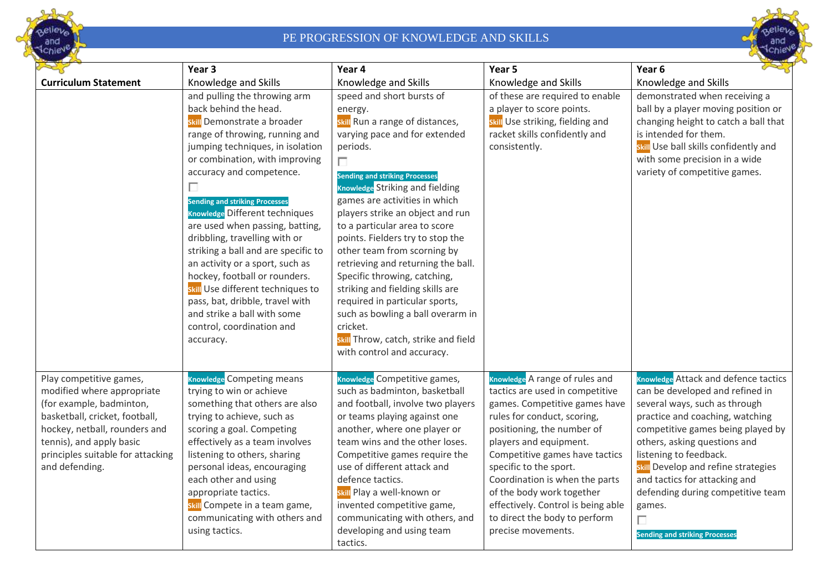



|                                                                                                                                                                                                                                         | Year 3                                                                                                                                                                                                                                                                                                                                                                                                                                                                                                                                                                                                                                   | Year 4                                                                                                                                                                                                                                                                                                                                                                                                                                                                                                                                                                                                                                                        | Year 5                                                                                                                                                                                                                                                                                                                                                                                                            | Year <sub>6</sub>                                                                                                                                                                                                                                                                                                                                                                                                      |
|-----------------------------------------------------------------------------------------------------------------------------------------------------------------------------------------------------------------------------------------|------------------------------------------------------------------------------------------------------------------------------------------------------------------------------------------------------------------------------------------------------------------------------------------------------------------------------------------------------------------------------------------------------------------------------------------------------------------------------------------------------------------------------------------------------------------------------------------------------------------------------------------|---------------------------------------------------------------------------------------------------------------------------------------------------------------------------------------------------------------------------------------------------------------------------------------------------------------------------------------------------------------------------------------------------------------------------------------------------------------------------------------------------------------------------------------------------------------------------------------------------------------------------------------------------------------|-------------------------------------------------------------------------------------------------------------------------------------------------------------------------------------------------------------------------------------------------------------------------------------------------------------------------------------------------------------------------------------------------------------------|------------------------------------------------------------------------------------------------------------------------------------------------------------------------------------------------------------------------------------------------------------------------------------------------------------------------------------------------------------------------------------------------------------------------|
| <b>Curriculum Statement</b>                                                                                                                                                                                                             | Knowledge and Skills                                                                                                                                                                                                                                                                                                                                                                                                                                                                                                                                                                                                                     | Knowledge and Skills                                                                                                                                                                                                                                                                                                                                                                                                                                                                                                                                                                                                                                          | Knowledge and Skills                                                                                                                                                                                                                                                                                                                                                                                              | Knowledge and Skills                                                                                                                                                                                                                                                                                                                                                                                                   |
|                                                                                                                                                                                                                                         | and pulling the throwing arm<br>back behind the head.<br>skill Demonstrate a broader<br>range of throwing, running and<br>jumping techniques, in isolation<br>or combination, with improving<br>accuracy and competence.<br>П<br><b>Sending and striking Processes</b><br>Knowledge Different techniques<br>are used when passing, batting,<br>dribbling, travelling with or<br>striking a ball and are specific to<br>an activity or a sport, such as<br>hockey, football or rounders.<br>skill Use different techniques to<br>pass, bat, dribble, travel with<br>and strike a ball with some<br>control, coordination and<br>accuracy. | speed and short bursts of<br>energy.<br>skill Run a range of distances,<br>varying pace and for extended<br>periods.<br>$\Box$<br><b>Sending and striking Processes</b><br><b>Knowledge</b> Striking and fielding<br>games are activities in which<br>players strike an object and run<br>to a particular area to score<br>points. Fielders try to stop the<br>other team from scorning by<br>retrieving and returning the ball.<br>Specific throwing, catching,<br>striking and fielding skills are<br>required in particular sports,<br>such as bowling a ball overarm in<br>cricket.<br>skill Throw, catch, strike and field<br>with control and accuracy. | of these are required to enable<br>a player to score points.<br>skill Use striking, fielding and<br>racket skills confidently and<br>consistently.                                                                                                                                                                                                                                                                | demonstrated when receiving a<br>ball by a player moving position or<br>changing height to catch a ball that<br>is intended for them.<br>skill Use ball skills confidently and<br>with some precision in a wide<br>variety of competitive games.                                                                                                                                                                       |
| Play competitive games,<br>modified where appropriate<br>(for example, badminton,<br>basketball, cricket, football,<br>hockey, netball, rounders and<br>tennis), and apply basic<br>principles suitable for attacking<br>and defending. | <b>Knowledge Competing means</b><br>trying to win or achieve<br>something that others are also<br>trying to achieve, such as<br>scoring a goal. Competing<br>effectively as a team involves<br>listening to others, sharing<br>personal ideas, encouraging<br>each other and using<br>appropriate tactics.<br>skill Compete in a team game,<br>communicating with others and<br>using tactics.                                                                                                                                                                                                                                           | Knowledge Competitive games,<br>such as badminton, basketball<br>and football, involve two players<br>or teams playing against one<br>another, where one player or<br>team wins and the other loses.<br>Competitive games require the<br>use of different attack and<br>defence tactics.<br>skill Play a well-known or<br>invented competitive game,<br>communicating with others, and<br>developing and using team<br>tactics.                                                                                                                                                                                                                               | Knowledge A range of rules and<br>tactics are used in competitive<br>games. Competitive games have<br>rules for conduct, scoring,<br>positioning, the number of<br>players and equipment.<br>Competitive games have tactics<br>specific to the sport.<br>Coordination is when the parts<br>of the body work together<br>effectively. Control is being able<br>to direct the body to perform<br>precise movements. | <b>Knowledge</b> Attack and defence tactics<br>can be developed and refined in<br>several ways, such as through<br>practice and coaching, watching<br>competitive games being played by<br>others, asking questions and<br>listening to feedback.<br>skill Develop and refine strategies<br>and tactics for attacking and<br>defending during competitive team<br>games.<br>П<br><b>Sending and striking Processes</b> |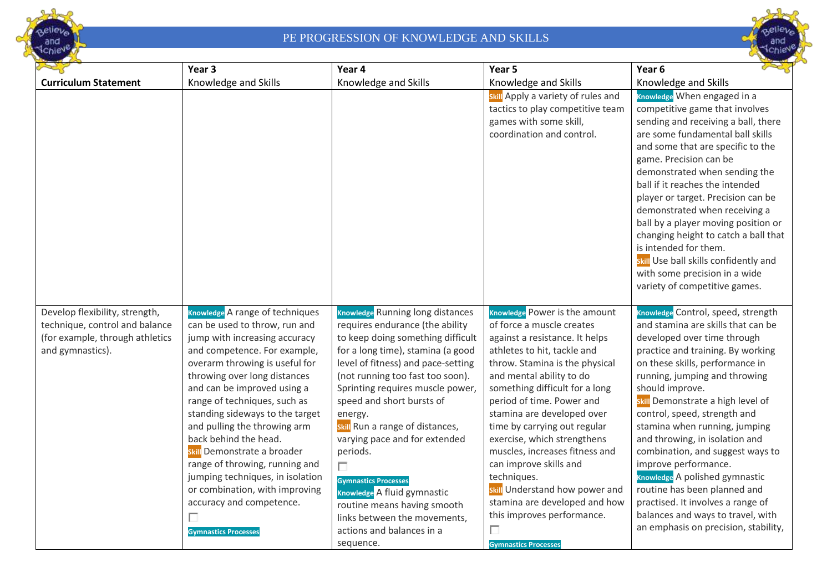



|                                                                                                                         | Year <sub>3</sub>                                                                                                                                                                                                                                                                                                                                                                                                                                                                                                                                                     | Year 4                                                                                                                                                                                                                                                                                                                                                                                                                                                                                                                                                                      | Year 5                                                                                                                                                                                                                                                                                                                                                                                                                                                                                                                                                                | Year <sub>6</sub>                                                                                                                                                                                                                                                                                                                                                                                                                                                                                                                                                                                                           |
|-------------------------------------------------------------------------------------------------------------------------|-----------------------------------------------------------------------------------------------------------------------------------------------------------------------------------------------------------------------------------------------------------------------------------------------------------------------------------------------------------------------------------------------------------------------------------------------------------------------------------------------------------------------------------------------------------------------|-----------------------------------------------------------------------------------------------------------------------------------------------------------------------------------------------------------------------------------------------------------------------------------------------------------------------------------------------------------------------------------------------------------------------------------------------------------------------------------------------------------------------------------------------------------------------------|-----------------------------------------------------------------------------------------------------------------------------------------------------------------------------------------------------------------------------------------------------------------------------------------------------------------------------------------------------------------------------------------------------------------------------------------------------------------------------------------------------------------------------------------------------------------------|-----------------------------------------------------------------------------------------------------------------------------------------------------------------------------------------------------------------------------------------------------------------------------------------------------------------------------------------------------------------------------------------------------------------------------------------------------------------------------------------------------------------------------------------------------------------------------------------------------------------------------|
| <b>Curriculum Statement</b>                                                                                             | Knowledge and Skills                                                                                                                                                                                                                                                                                                                                                                                                                                                                                                                                                  | Knowledge and Skills                                                                                                                                                                                                                                                                                                                                                                                                                                                                                                                                                        | Knowledge and Skills                                                                                                                                                                                                                                                                                                                                                                                                                                                                                                                                                  | Knowledge and Skills                                                                                                                                                                                                                                                                                                                                                                                                                                                                                                                                                                                                        |
|                                                                                                                         |                                                                                                                                                                                                                                                                                                                                                                                                                                                                                                                                                                       |                                                                                                                                                                                                                                                                                                                                                                                                                                                                                                                                                                             | <b>Skill</b> Apply a variety of rules and<br>tactics to play competitive team<br>games with some skill,<br>coordination and control.                                                                                                                                                                                                                                                                                                                                                                                                                                  | Knowledge When engaged in a<br>competitive game that involves<br>sending and receiving a ball, there<br>are some fundamental ball skills<br>and some that are specific to the<br>game. Precision can be<br>demonstrated when sending the<br>ball if it reaches the intended<br>player or target. Precision can be<br>demonstrated when receiving a<br>ball by a player moving position or<br>changing height to catch a ball that<br>is intended for them.<br>skill Use ball skills confidently and<br>with some precision in a wide<br>variety of competitive games.                                                       |
| Develop flexibility, strength,<br>technique, control and balance<br>(for example, through athletics<br>and gymnastics). | Knowledge A range of techniques<br>can be used to throw, run and<br>jump with increasing accuracy<br>and competence. For example,<br>overarm throwing is useful for<br>throwing over long distances<br>and can be improved using a<br>range of techniques, such as<br>standing sideways to the target<br>and pulling the throwing arm<br>back behind the head.<br>skill Demonstrate a broader<br>range of throwing, running and<br>jumping techniques, in isolation<br>or combination, with improving<br>accuracy and competence.<br>П<br><b>Gymnastics Processes</b> | <b>Knowledge Running long distances</b><br>requires endurance (the ability<br>to keep doing something difficult<br>for a long time), stamina (a good<br>level of fitness) and pace-setting<br>(not running too fast too soon).<br>Sprinting requires muscle power,<br>speed and short bursts of<br>energy.<br>skill Run a range of distances,<br>varying pace and for extended<br>periods.<br>$\Box$<br><b>Gymnastics Processes</b><br>Knowledge A fluid gymnastic<br>routine means having smooth<br>links between the movements,<br>actions and balances in a<br>sequence. | Knowledge Power is the amount<br>of force a muscle creates<br>against a resistance. It helps<br>athletes to hit, tackle and<br>throw. Stamina is the physical<br>and mental ability to do<br>something difficult for a long<br>period of time. Power and<br>stamina are developed over<br>time by carrying out regular<br>exercise, which strengthens<br>muscles, increases fitness and<br>can improve skills and<br>techniques.<br>skill Understand how power and<br>stamina are developed and how<br>this improves performance.<br>П<br><b>Gymnastics Processes</b> | Knowledge Control, speed, strength<br>and stamina are skills that can be<br>developed over time through<br>practice and training. By working<br>on these skills, performance in<br>running, jumping and throwing<br>should improve.<br>skill Demonstrate a high level of<br>control, speed, strength and<br>stamina when running, jumping<br>and throwing, in isolation and<br>combination, and suggest ways to<br>improve performance.<br>Knowledge A polished gymnastic<br>routine has been planned and<br>practised. It involves a range of<br>balances and ways to travel, with<br>an emphasis on precision, stability, |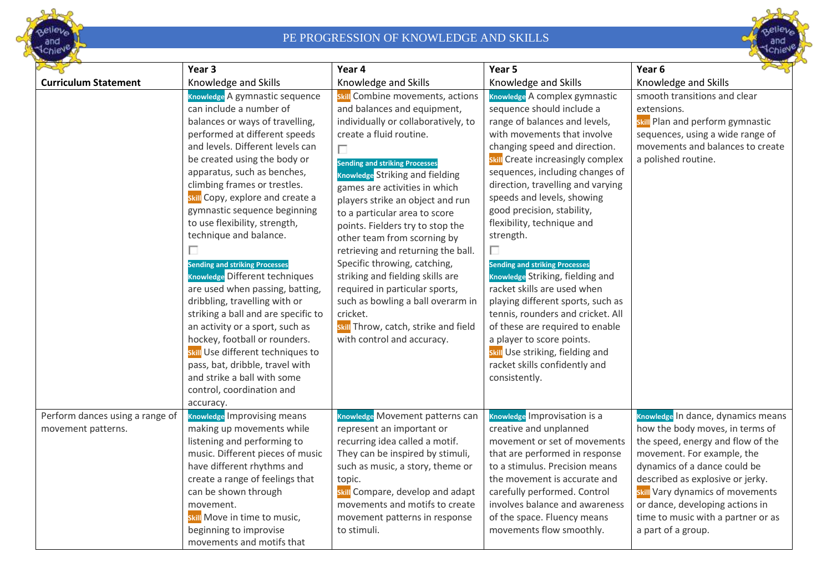



|                                 | Year 3                                | Year 4                                 | Year 5                                | Year <sub>6</sub>                  |
|---------------------------------|---------------------------------------|----------------------------------------|---------------------------------------|------------------------------------|
| <b>Curriculum Statement</b>     | Knowledge and Skills                  | Knowledge and Skills                   | Knowledge and Skills                  | Knowledge and Skills               |
|                                 | Knowledge A gymnastic sequence        | skill Combine movements, actions       | Knowledge A complex gymnastic         | smooth transitions and clear       |
|                                 | can include a number of               | and balances and equipment,            | sequence should include a             | extensions.                        |
|                                 | balances or ways of travelling,       | individually or collaboratively, to    | range of balances and levels,         | skill Plan and perform gymnastic   |
|                                 | performed at different speeds         | create a fluid routine.                | with movements that involve           | sequences, using a wide range of   |
|                                 | and levels. Different levels can      | П                                      | changing speed and direction.         | movements and balances to create   |
|                                 | be created using the body or          | <b>Sending and striking Processes</b>  | skill Create increasingly complex     | a polished routine.                |
|                                 | apparatus, such as benches,           | <b>Knowledge Striking and fielding</b> | sequences, including changes of       |                                    |
|                                 | climbing frames or trestles.          | games are activities in which          | direction, travelling and varying     |                                    |
|                                 | skill Copy, explore and create a      | players strike an object and run       | speeds and levels, showing            |                                    |
|                                 | gymnastic sequence beginning          | to a particular area to score          | good precision, stability,            |                                    |
|                                 | to use flexibility, strength,         | points. Fielders try to stop the       | flexibility, technique and            |                                    |
|                                 | technique and balance.                | other team from scorning by            | strength.                             |                                    |
|                                 | П                                     | retrieving and returning the ball.     | П                                     |                                    |
|                                 | <b>Sending and striking Processes</b> | Specific throwing, catching,           | <b>Sending and striking Processes</b> |                                    |
|                                 | Knowledge Different techniques        | striking and fielding skills are       | Knowledge Striking, fielding and      |                                    |
|                                 | are used when passing, batting,       | required in particular sports,         | racket skills are used when           |                                    |
|                                 | dribbling, travelling with or         | such as bowling a ball overarm in      | playing different sports, such as     |                                    |
|                                 | striking a ball and are specific to   | cricket.                               | tennis, rounders and cricket. All     |                                    |
|                                 | an activity or a sport, such as       | skill Throw, catch, strike and field   | of these are required to enable       |                                    |
|                                 | hockey, football or rounders.         | with control and accuracy.             | a player to score points.             |                                    |
|                                 | skill Use different techniques to     |                                        | skill Use striking, fielding and      |                                    |
|                                 | pass, bat, dribble, travel with       |                                        | racket skills confidently and         |                                    |
|                                 | and strike a ball with some           |                                        | consistently.                         |                                    |
|                                 | control, coordination and             |                                        |                                       |                                    |
|                                 | accuracy.                             |                                        |                                       |                                    |
| Perform dances using a range of | <b>Knowledge Improvising means</b>    | Knowledge Movement patterns can        | Knowledge Improvisation is a          | Knowledge In dance, dynamics means |
| movement patterns.              | making up movements while             | represent an important or              | creative and unplanned                | how the body moves, in terms of    |
|                                 | listening and performing to           | recurring idea called a motif.         | movement or set of movements          | the speed, energy and flow of the  |
|                                 | music. Different pieces of music      | They can be inspired by stimuli,       | that are performed in response        | movement. For example, the         |
|                                 | have different rhythms and            | such as music, a story, theme or       | to a stimulus. Precision means        | dynamics of a dance could be       |
|                                 | create a range of feelings that       | topic.                                 | the movement is accurate and          | described as explosive or jerky.   |
|                                 | can be shown through                  | skill Compare, develop and adapt       | carefully performed. Control          | skill Vary dynamics of movements   |
|                                 | movement.                             | movements and motifs to create         | involves balance and awareness        | or dance, developing actions in    |
|                                 | skill Move in time to music,          | movement patterns in response          | of the space. Fluency means           | time to music with a partner or as |
|                                 | beginning to improvise                | to stimuli.                            | movements flow smoothly.              | a part of a group.                 |
|                                 | movements and motifs that             |                                        |                                       |                                    |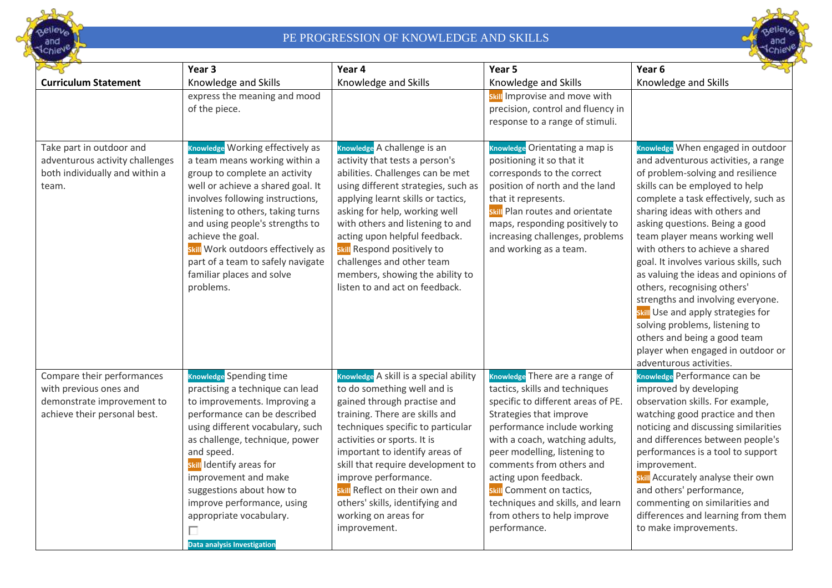



|                                                                                                                    | Year <sub>3</sub>                                                                                                                                                                                                                                                                                                                                                                                  | Year 4                                                                                                                                                                                                                                                                                                                                                                                                                 | Year 5                                                                                                                                                                                                                                                                                                                                                                                                  | Year <sub>6</sub>                                                                                                                                                                                                                                                                                                                                                                                                                                                                                                                                                                                                                                             |
|--------------------------------------------------------------------------------------------------------------------|----------------------------------------------------------------------------------------------------------------------------------------------------------------------------------------------------------------------------------------------------------------------------------------------------------------------------------------------------------------------------------------------------|------------------------------------------------------------------------------------------------------------------------------------------------------------------------------------------------------------------------------------------------------------------------------------------------------------------------------------------------------------------------------------------------------------------------|---------------------------------------------------------------------------------------------------------------------------------------------------------------------------------------------------------------------------------------------------------------------------------------------------------------------------------------------------------------------------------------------------------|---------------------------------------------------------------------------------------------------------------------------------------------------------------------------------------------------------------------------------------------------------------------------------------------------------------------------------------------------------------------------------------------------------------------------------------------------------------------------------------------------------------------------------------------------------------------------------------------------------------------------------------------------------------|
| <b>Curriculum Statement</b>                                                                                        | Knowledge and Skills                                                                                                                                                                                                                                                                                                                                                                               | Knowledge and Skills                                                                                                                                                                                                                                                                                                                                                                                                   | Knowledge and Skills                                                                                                                                                                                                                                                                                                                                                                                    | Knowledge and Skills                                                                                                                                                                                                                                                                                                                                                                                                                                                                                                                                                                                                                                          |
|                                                                                                                    | express the meaning and mood<br>of the piece.                                                                                                                                                                                                                                                                                                                                                      |                                                                                                                                                                                                                                                                                                                                                                                                                        | skill Improvise and move with<br>precision, control and fluency in<br>response to a range of stimuli.                                                                                                                                                                                                                                                                                                   |                                                                                                                                                                                                                                                                                                                                                                                                                                                                                                                                                                                                                                                               |
| Take part in outdoor and<br>adventurous activity challenges<br>both individually and within a<br>team.             | Knowledge Working effectively as<br>a team means working within a<br>group to complete an activity<br>well or achieve a shared goal. It<br>involves following instructions,<br>listening to others, taking turns<br>and using people's strengths to<br>achieve the goal.<br>skill Work outdoors effectively as<br>part of a team to safely navigate<br>familiar places and solve<br>problems.      | Knowledge A challenge is an<br>activity that tests a person's<br>abilities. Challenges can be met<br>using different strategies, such as<br>applying learnt skills or tactics,<br>asking for help, working well<br>with others and listening to and<br>acting upon helpful feedback.<br>skill Respond positively to<br>challenges and other team<br>members, showing the ability to<br>listen to and act on feedback.  | Knowledge Orientating a map is<br>positioning it so that it<br>corresponds to the correct<br>position of north and the land<br>that it represents.<br><b>Skill</b> Plan routes and orientate<br>maps, responding positively to<br>increasing challenges, problems<br>and working as a team.                                                                                                             | Knowledge When engaged in outdoor<br>and adventurous activities, a range<br>of problem-solving and resilience<br>skills can be employed to help<br>complete a task effectively, such as<br>sharing ideas with others and<br>asking questions. Being a good<br>team player means working well<br>with others to achieve a shared<br>goal. It involves various skills, such<br>as valuing the ideas and opinions of<br>others, recognising others'<br>strengths and involving everyone.<br>skill Use and apply strategies for<br>solving problems, listening to<br>others and being a good team<br>player when engaged in outdoor or<br>adventurous activities. |
| Compare their performances<br>with previous ones and<br>demonstrate improvement to<br>achieve their personal best. | Knowledge Spending time<br>practising a technique can lead<br>to improvements. Improving a<br>performance can be described<br>using different vocabulary, such<br>as challenge, technique, power<br>and speed.<br>skill Identify areas for<br>improvement and make<br>suggestions about how to<br>improve performance, using<br>appropriate vocabulary.<br>П<br><b>Data analysis Investigation</b> | Knowledge A skill is a special ability<br>to do something well and is<br>gained through practise and<br>training. There are skills and<br>techniques specific to particular<br>activities or sports. It is<br>important to identify areas of<br>skill that require development to<br>improve performance.<br>skill Reflect on their own and<br>others' skills, identifying and<br>working on areas for<br>improvement. | Knowledge There are a range of<br>tactics, skills and techniques<br>specific to different areas of PE.<br>Strategies that improve<br>performance include working<br>with a coach, watching adults,<br>peer modelling, listening to<br>comments from others and<br>acting upon feedback.<br>skill Comment on tactics,<br>techniques and skills, and learn<br>from others to help improve<br>performance. | Knowledge Performance can be<br>improved by developing<br>observation skills. For example,<br>watching good practice and then<br>noticing and discussing similarities<br>and differences between people's<br>performances is a tool to support<br>improvement.<br>skill Accurately analyse their own<br>and others' performance,<br>commenting on similarities and<br>differences and learning from them<br>to make improvements.                                                                                                                                                                                                                             |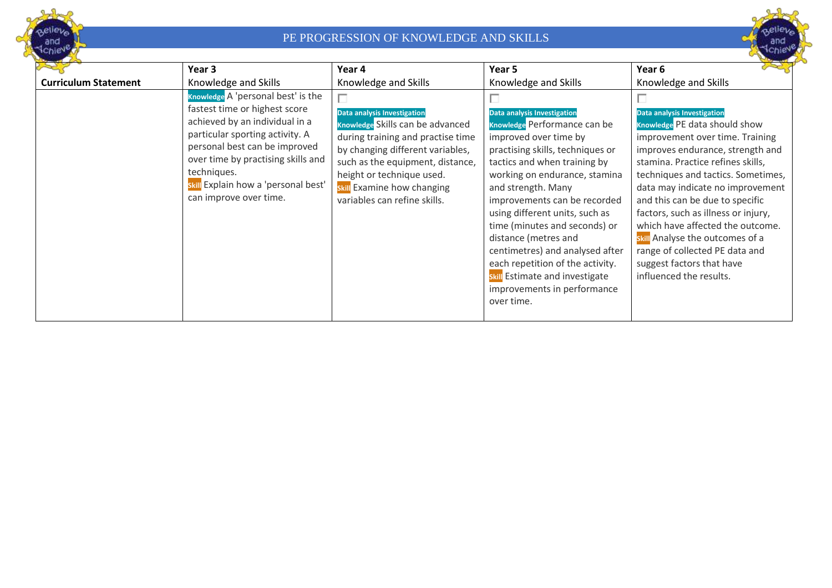



|                             | Year 3                                                                                                                                                                                                                                                                                          | Year 4                                                                                                                                                                                                                                                                              | Year 5                                                                                                                                                                                                                                                                                                                                                                                                                                                                                           | Year 6                                                                                                                                                                                                                                                                                                                                                                                                                                                                                        |
|-----------------------------|-------------------------------------------------------------------------------------------------------------------------------------------------------------------------------------------------------------------------------------------------------------------------------------------------|-------------------------------------------------------------------------------------------------------------------------------------------------------------------------------------------------------------------------------------------------------------------------------------|--------------------------------------------------------------------------------------------------------------------------------------------------------------------------------------------------------------------------------------------------------------------------------------------------------------------------------------------------------------------------------------------------------------------------------------------------------------------------------------------------|-----------------------------------------------------------------------------------------------------------------------------------------------------------------------------------------------------------------------------------------------------------------------------------------------------------------------------------------------------------------------------------------------------------------------------------------------------------------------------------------------|
| <b>Curriculum Statement</b> | Knowledge and Skills                                                                                                                                                                                                                                                                            | Knowledge and Skills                                                                                                                                                                                                                                                                | Knowledge and Skills                                                                                                                                                                                                                                                                                                                                                                                                                                                                             | Knowledge and Skills                                                                                                                                                                                                                                                                                                                                                                                                                                                                          |
|                             | Knowledge A 'personal best' is the<br>fastest time or highest score<br>achieved by an individual in a<br>particular sporting activity. A<br>personal best can be improved<br>over time by practising skills and<br>techniques.<br>skill Explain how a 'personal best'<br>can improve over time. | П<br><b>Data analysis Investigation</b><br>Knowledge Skills can be advanced<br>during training and practise time<br>by changing different variables,<br>such as the equipment, distance,<br>height or technique used.<br>skill Examine how changing<br>variables can refine skills. | Data analysis Investigation<br>Knowledge Performance can be<br>improved over time by<br>practising skills, techniques or<br>tactics and when training by<br>working on endurance, stamina<br>and strength. Many<br>improvements can be recorded<br>using different units, such as<br>time (minutes and seconds) or<br>distance (metres and<br>centimetres) and analysed after<br>each repetition of the activity.<br>skill Estimate and investigate<br>improvements in performance<br>over time. | Data analysis Investigation<br>Knowledge PE data should show<br>improvement over time. Training<br>improves endurance, strength and<br>stamina. Practice refines skills,<br>techniques and tactics. Sometimes,<br>data may indicate no improvement<br>and this can be due to specific<br>factors, such as illness or injury,<br>which have affected the outcome.<br>skill Analyse the outcomes of a<br>range of collected PE data and<br>suggest factors that have<br>influenced the results. |